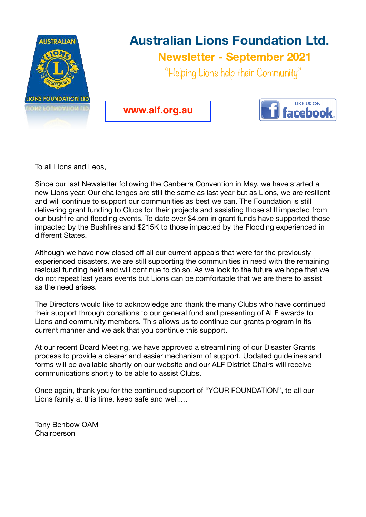

\_\_\_\_\_\_\_\_\_\_\_\_\_\_\_\_\_\_\_\_\_\_\_\_\_\_\_\_\_\_\_\_\_\_\_\_\_\_\_\_\_\_\_\_\_\_\_\_\_\_\_\_\_\_\_\_\_\_\_\_\_\_\_\_\_\_\_\_\_\_\_\_\_\_\_\_\_\_\_\_

To all Lions and Leos,

Since our last Newsletter following the Canberra Convention in May, we have started a new Lions year. Our challenges are still the same as last year but as Lions, we are resilient and will continue to support our communities as best we can. The Foundation is still delivering grant funding to Clubs for their projects and assisting those still impacted from our bushfire and flooding events. To date over \$4.5m in grant funds have supported those impacted by the Bushfires and \$215K to those impacted by the Flooding experienced in different States.

Although we have now closed off all our current appeals that were for the previously experienced disasters, we are still supporting the communities in need with the remaining residual funding held and will continue to do so. As we look to the future we hope that we do not repeat last years events but Lions can be comfortable that we are there to assist as the need arises.

The Directors would like to acknowledge and thank the many Clubs who have continued their support through donations to our general fund and presenting of ALF awards to Lions and community members. This allows us to continue our grants program in its current manner and we ask that you continue this support.

At our recent Board Meeting, we have approved a streamlining of our Disaster Grants process to provide a clearer and easier mechanism of support. Updated guidelines and forms will be available shortly on our website and our ALF District Chairs will receive communications shortly to be able to assist Clubs.

Once again, thank you for the continued support of "YOUR FOUNDATION", to all our Lions family at this time, keep safe and well….

Tony Benbow OAM **Chairperson**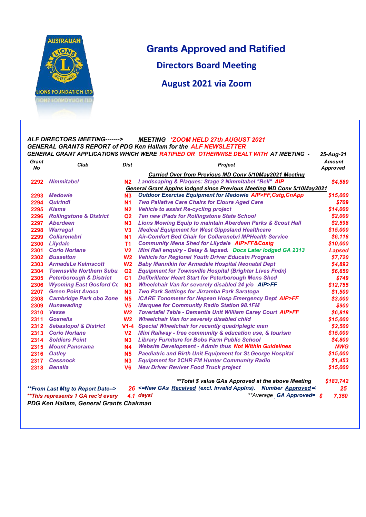

## **Grants Approved and Ratified**

25-Aug-21

**Directors Board Meeting** 

**August 2021 via Zoom** 

## ALF DIRECTORS MEETING-------> **MEETING \*ZOOM HELD 27th AUGUST 2021 GENERAL GRANTS REPORT of PDG Ken Hallam for the ALF NEWSLETTER** GENERAL GRANT APPLICATIONS WHICH WERE RATIFIED OR OTHERWISE DEALT WITH AT MEETING -

| Grant<br><b>No</b>                                                                                          | Club                               | <b>Dist</b>    | <b>Project</b>                                                                | Amount<br><b>Approved</b> |
|-------------------------------------------------------------------------------------------------------------|------------------------------------|----------------|-------------------------------------------------------------------------------|---------------------------|
|                                                                                                             |                                    |                | <b>Carried Over from Previous MD Conv 5/10May2021 Meeting</b>                 |                           |
| 2292                                                                                                        | <b>Nimmitabel</b>                  | N <sub>2</sub> | Landscaping & Plaques: Stage 2 Nimmitabel "Bell" AIP                          | \$4,580                   |
|                                                                                                             |                                    |                | <b>General Grant Appins lodged since Previous Meeting MD Conv 5/10May2021</b> |                           |
| 2293                                                                                                        | <b>Medowie</b>                     | N3             | <b>Outdoor Exercise Equipment for Medowie AIP&gt;FF, Cstg, CnApp</b>          | \$15,000                  |
| 2294                                                                                                        | <b>Quirindi</b>                    | <b>N1</b>      | <b>Two Paliative Care Chairs for Eloura Aged Care</b>                         | \$709                     |
| 2295                                                                                                        | <b>Kiama</b>                       | N <sub>2</sub> | <b>Vehicle to assist Re-cycling project</b>                                   | \$14.000                  |
| 2296                                                                                                        | <b>Rollingstone &amp; District</b> | Q <sub>2</sub> | Ten new iPads for Rollingstone State School                                   | \$2,000                   |
| 2297                                                                                                        | <b>Aberdeen</b>                    | N3             | <b>Lions Mowing Equip to maintain Aberdeen Parks &amp; Scout Hall</b>         | \$2,598                   |
| 2298                                                                                                        | <b>Warragul</b>                    | V <sub>3</sub> | <b>Medical Equipment for West Gippsland Healthcare</b>                        | \$15,000                  |
| 2299                                                                                                        | <b>Collarenebri</b>                | <b>N1</b>      | <b>Air-Comfort Bed Chair for Collarenebri MPHealth Service</b>                | \$6,118                   |
| 2300                                                                                                        | Lilydale                           | T <sub>1</sub> | <b>Community Mens Shed for Lilydale AIP&gt;FF&amp;Costg</b>                   | \$10,000                  |
| 2301                                                                                                        | <b>Corio Norlane</b>               | V <sub>2</sub> | Mini Rail enquiry - Delay & lapsed. Docs Later lodged GA 2313                 | <b>Lapsed</b>             |
| 2302                                                                                                        | <b>Busselton</b>                   | W <sub>2</sub> | <b>Vehicle for Regional Youth Driver Educatn Program</b>                      | \$7,720                   |
| 2303                                                                                                        | <b>ArmadaLe Kelmscott</b>          | W <sub>2</sub> | <b>Baby Mannikin for Armadale Hospital Neonatal Dept</b>                      | \$4,892                   |
| 2304                                                                                                        | <b>Townsville Northern Subut</b>   | Q <sub>2</sub> | <b>Equipment for Townsville Hospital (Brighter Lives Fndn)</b>                | \$6,650                   |
| 2305                                                                                                        | <b>Peterborough &amp; District</b> | C <sub>1</sub> | <b>Defibrillator Heart Start for Peterborough Mens Shed</b>                   | \$749                     |
| 2306                                                                                                        | <b>Wyoming East Gosford Ce</b>     | N3             | Wheelchair Van for severely disabled 24 y/o AIP>FF                            | \$12,755                  |
| 2207                                                                                                        | <b>Green Point Avoca</b>           | N <sub>3</sub> | <b>Two Park Settings for Jirramba Park Saratoga</b>                           | \$1,500                   |
| 2308                                                                                                        | <b>Cambridge Park obo Zone</b>     | <b>N5</b>      | <b>ICARE Tonometer for Nepean Hosp Emergency Dept AIP&gt;FF</b>               | \$3,000                   |
| 2309                                                                                                        | <b>Nunawading</b>                  | V <sub>5</sub> | <b>Marquee for Community Radio Station 98.1FM</b>                             | \$900                     |
| 2310                                                                                                        | <b>Vasse</b>                       | W <sub>2</sub> | Tovertafel Table - Dementia Unit William Carey Court AIP>FF                   | \$6,818                   |
| 2311                                                                                                        | <b>Gosnells</b>                    | W <sub>2</sub> | <b>Wheelchair Van for severely disabled child</b>                             | \$15,000                  |
| 2312                                                                                                        | <b>Sebastopol &amp; District</b>   | $V1-4$         | <b>Special Wheelchair for recently quadriplegic man</b>                       | \$2,500                   |
| 2313                                                                                                        | <b>Corio Norlane</b>               | V <sub>2</sub> | Mini Railway - free community & education use, & tourism                      | \$15,000                  |
| 2314                                                                                                        | <b>Soldiers Point</b>              | N <sub>3</sub> | <b>Library Furniture for Bobs Farm Public School</b>                          | \$4,800                   |
| 2315                                                                                                        | <b>Mount Panorama</b>              | <b>N4</b>      | <b>Website Development - Admin thus Not Within Guidelines</b>                 | <b>NWG</b>                |
| 2316                                                                                                        | <b>Oatley</b>                      | <b>N5</b>      | <b>Paediatric and Birth Unit Equipment for St. George Hospital</b>            | \$15,000                  |
| 2317                                                                                                        | <b>Cessnock</b>                    | N <sub>3</sub> | <b>Equipment for 2CHR FM Hunter Community Radio</b>                           | \$1,453                   |
| 2318                                                                                                        | <b>Benalla</b>                     | V <sub>6</sub> | <b>New Driver Reviver Food Truck project</b>                                  | \$15,000                  |
|                                                                                                             |                                    |                | **Total \$ value GAs Approved at the above Meeting                            | \$183,742                 |
| 26 <= New GAs Received (excl. Invalid Appins). Number Approved =<br>25<br>**From Last Mtg to Report Date--> |                                    |                |                                                                               |                           |
| **This represents 1 GA rec'd every                                                                          |                                    | 4.1            | **Average GA Approved= \$<br>days!                                            | 7.350                     |

PDG Ken Hallam, General Grants Chairman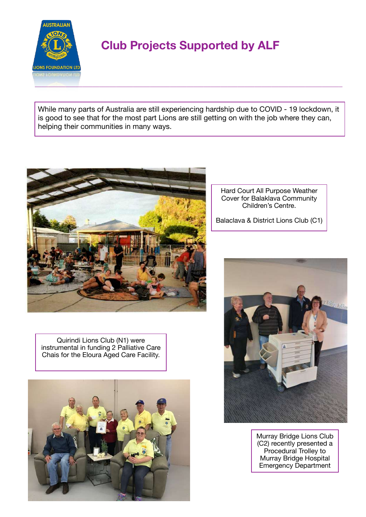

## **Club Projects Supported by ALF**

While many parts of Australia are still experiencing hardship due to COVID - 19 lockdown, it is good to see that for the most part Lions are still getting on with the job where they can, helping their communities in many ways.



Quirindi Lions Club (N1) were instrumental in funding 2 Palliative Care Chais for the Eloura Aged Care Facility.



Hard Court All Purpose Weather Cover for Balaklava Community Children's Centre.

Balaclava & District Lions Club (C1)



Murray Bridge Lions Club (C2) recently presented a Procedural Trolley to Murray Bridge Hospital Emergency Department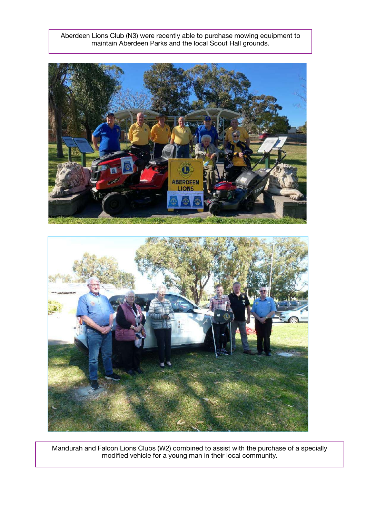Aberdeen Lions Club (N3) were recently able to purchase mowing equipment to maintain Aberdeen Parks and the local Scout Hall grounds.





Mandurah and Falcon Lions Clubs (W2) combined to assist with the purchase of a specially modified vehicle for a young man in their local community.